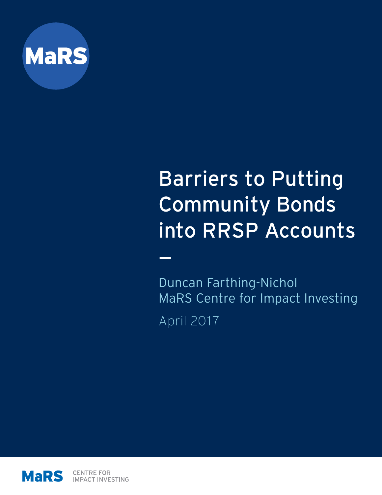

# Barriers to Putting Community Bonds into RRSP Accounts

—

Duncan Farthing-Nichol MaRS Centre for Impact Investing April 2017

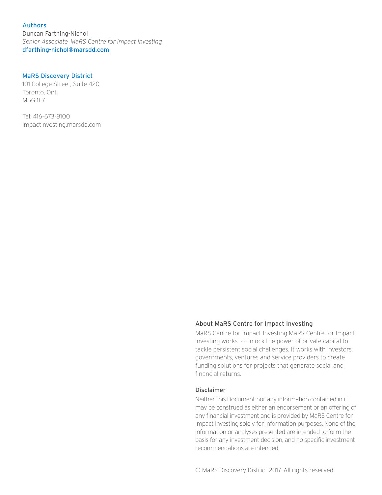Authors Duncan Farthing-Nichol *Senior Associate, MaRS Centre for Impact Investing* [dfarthing-nichol@marsdd.com](mailto:dfarthing-nichol%40marsdd.com%20?subject=)

#### MaRS Discovery District

101 College Street, Suite 420 Toronto, Ont. M5G 1L7

Tel: 416-673-8100 impactinvesting.marsdd.com

#### About MaRS Centre for Impact Investing

MaRS Centre for Impact Investing MaRS Centre for Impact Investing works to unlock the power of private capital to tackle persistent social challenges. It works with investors, governments, ventures and service providers to create funding solutions for projects that generate social and financial returns.

#### Disclaimer

Neither this Document nor any information contained in it may be construed as either an endorsement or an offering of any financial investment and is provided by MaRS Centre for Impact Investing solely for information purposes. None of the information or analyses presented are intended to form the basis for any investment decision, and no specific investment recommendations are intended.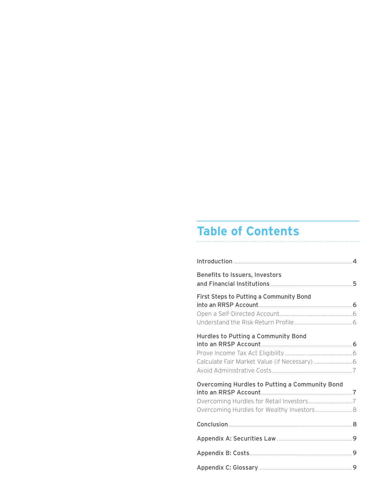## **Table of Contents**

| Benefits to Issuers, Investors                 |  |
|------------------------------------------------|--|
| First Steps to Putting a Community Bond        |  |
| Hurdles to Putting a Community Bond            |  |
| Overcoming Hurdles to Putting a Community Bond |  |
|                                                |  |
|                                                |  |
|                                                |  |
|                                                |  |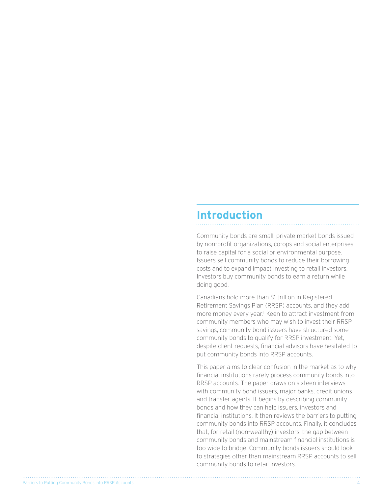### <span id="page-3-0"></span>**Introduction**

Community bonds are small, private market bonds issued by non-profit organizations, co-ops and social enterprises to raise capital for a social or environmental purpose. Issuers sell community bonds to reduce their borrowing costs and to expand impact investing to retail investors. Investors buy community bonds to earn a return while doing good.

Canadians hold more than \$1 trillion in Registered Retirement Savings Plan (RRSP) accounts, and they add more money every year.1 Keen to attract investment from community members who may wish to invest their RRSP savings, community bond issuers have structured some community bonds to qualify for RRSP investment. Yet, despite client requests, financial advisors have hesitated to put community bonds into RRSP accounts.

This paper aims to clear confusion in the market as to why financial institutions rarely process community bonds into RRSP accounts. The paper draws on sixteen interviews with community bond issuers, major banks, credit unions and transfer agents. It begins by describing community bonds and how they can help issuers, investors and financial institutions. It then reviews the barriers to putting community bonds into RRSP accounts. Finally, it concludes that, for retail (non-wealthy) investors, the gap between community bonds and mainstream financial institutions is too wide to bridge. Community bonds issuers should look to strategies other than mainstream RRSP accounts to sell community bonds to retail investors.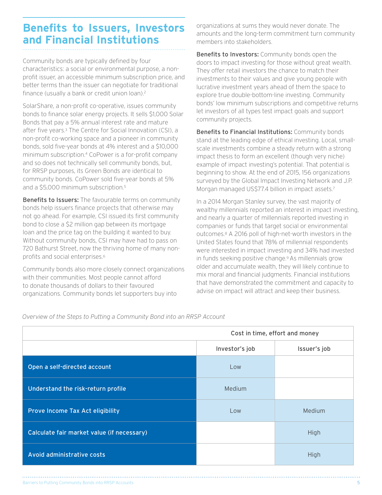### <span id="page-4-0"></span>**Benefits to Issuers, Investors and Financial Institutions**

Community bonds are typically defined by four characteristics: a social or environmental purpose, a nonprofit issuer, an accessible minimum subscription price, and better terms than the issuer can negotiate for traditional finance (usually a bank or credit union loan).<sup>2</sup>

SolarShare, a non-profit co-operative, issues community bonds to finance solar energy projects. It sells \$1,000 Solar Bonds that pay a 5% annual interest rate and mature after five years.3 The Centre for Social Innovation (CSI), a non-profit co-working space and a pioneer in community bonds, sold five-year bonds at 4% interest and a \$10,000 minimum subscription.4 CoPower is a for-profit company and so does not technically sell community bonds, but, for RRSP purposes, its Green Bonds are identical to community bonds. CoPower sold five-year bonds at 5% and a \$5,000 minimum subscription.5

Benefits to Issuers: The favourable terms on community bonds help issuers finance projects that otherwise may not go ahead. For example, CSI issued its first community bond to close a \$2 million gap between its mortgage loan and the price tag on the building it wanted to buy. Without community bonds, CSI may have had to pass on 720 Bathurst Street, now the thriving home of many nonprofits and social enterprises.6

Community bonds also more closely connect organizations with their communities. Most people cannot afford to donate thousands of dollars to their favoured organizations. Community bonds let supporters buy into

organizations at sums they would never donate. The amounts and the long-term commitment turn community members into stakeholders.

Benefits to Investors: Community bonds open the doors to impact investing for those without great wealth. They offer retail investors the chance to match their investments to their values and give young people with lucrative investment years ahead of them the space to explore true double-bottom-line investing. Community bonds' low minimum subscriptions and competitive returns let investors of all types test impact goals and support community projects.

Benefits to Financial Institutions: Community bonds stand at the leading edge of ethical investing. Local, smallscale investments combine a steady return with a strong impact thesis to form an excellent (though very niche) example of impact investing's potential. That potential is beginning to show. At the end of 2015, 156 organizations surveyed by the Global Impact Investing Network and J.P. Morgan managed US\$77.4 billion in impact assets.7

In a 2014 Morgan Stanley survey, the vast majority of wealthy millennials reported an interest in impact investing, and nearly a quarter of millennials reported investing in companies or funds that target social or environmental outcomes.8 A 2016 poll of high-net-worth investors in the United States found that 78% of millennial respondents were interested in impact investing and 34% had invested in funds seeking positive change.9 As millennials grow older and accumulate wealth, they will likely continue to mix moral and financial judgments. Financial institutions that have demonstrated the commitment and capacity to advise on impact will attract and keep their business.

*Overview of the Steps to Putting a Community Bond into an RRSP Account*

|                                            | Cost in time, effort and money |              |  |
|--------------------------------------------|--------------------------------|--------------|--|
|                                            | Investor's job                 | Issuer's job |  |
| Open a self-directed account               | Low                            |              |  |
| Understand the risk-return profile         | Medium                         |              |  |
| Prove Income Tax Act eligibility           | Low                            | Medium       |  |
| Calculate fair market value (if necessary) |                                | High         |  |
| Avoid administrative costs                 |                                | High         |  |

Barriers to Putting Community Bonds into RRSP Accounts 5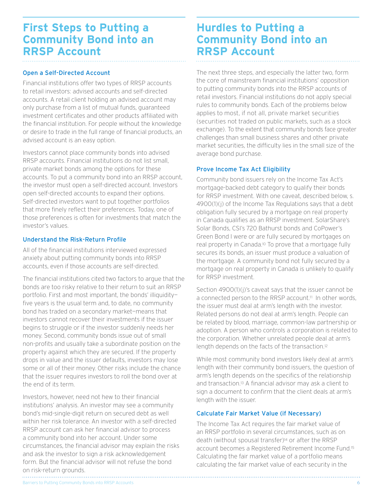### <span id="page-5-0"></span>**First Steps to Putting a Community Bond into an RRSP Account**

#### Open a Self-Directed Account

Financial institutions offer two types of RRSP accounts to retail investors: advised accounts and self-directed accounts. A retail client holding an advised account may only purchase from a list of mutual funds, guaranteed investment certificates and other products affiliated with the financial institution. For people without the knowledge or desire to trade in the full range of financial products, an advised account is an easy option.

Investors cannot place community bonds into advised RRSP accounts. Financial institutions do not list small, private market bonds among the options for these accounts. To put a community bond into an RRSP account, the investor must open a self-directed account. Investors open self-directed accounts to expand their options. Self-directed investors want to put together portfolios that more finely reflect their preferences. Today, one of those preferences is often for investments that match the investor's values.

#### Understand the Risk-Return Profile

All of the financial institutions interviewed expressed anxiety about putting community bonds into RRSP accounts, even if those accounts are self-directed.

The financial institutions cited two factors to argue that the bonds are too risky relative to their return to suit an RRSP portfolio. First and most important, the bonds' illiquidity five years is the usual term and, to date, no community bond has traded on a secondary market—means that investors cannot recover their investments if the issuer begins to struggle or if the investor suddenly needs her money. Second, community bonds issue out of small non-profits and usually take a subordinate position on the property against which they are secured. If the property drops in value and the issuer defaults, investors may lose some or all of their money. Other risks include the chance that the issuer requires investors to roll the bond over at the end of its term.

Investors, however, need not hew to their financial institutions' analysis. An investor may see a community bond's mid-single-digit return on secured debt as well within her risk tolerance. An investor with a self-directed RRSP account can ask her financial advisor to process a community bond into her account. Under some circumstances, the financial advisor may explain the risks and ask the investor to sign a risk acknowledgement form. But the financial advisor will not refuse the bond on risk-return grounds.

### **Hurdles to Putting a Community Bond into an RRSP Account**

The next three steps, and especially the latter two, form the core of mainstream financial institutions' opposition to putting community bonds into the RRSP accounts of retail investors. Financial institutions do not apply special rules to community bonds. Each of the problems below applies to most, if not all, private market securities (securities not traded on public markets, such as a stock exchange). To the extent that community bonds face greater challenges than small business shares and other private market securities, the difficulty lies in the small size of the average bond purchase.

#### Prove Income Tax Act Eligibility

Community bond issuers rely on the Income Tax Act's mortgage-backed debt category to qualify their bonds for RRSP investment. With one caveat, described below, s. 4900(1)(j) of the Income Tax Regulations says that a debt obligation fully secured by a mortgage on real property in Canada qualifies as an RRSP investment. SolarShare's Solar Bonds, CSI's 720 Bathurst bonds and CoPower's Green Bond I were or are fully secured by mortgages on real property in Canada.10 To prove that a mortgage fully secures its bonds, an issuer must produce a valuation of the mortgage. A community bond not fully secured by a mortgage on real property in Canada is unlikely to qualify for RRSP investment.

Section 4900(1)(j)'s caveat says that the issuer cannot be a connected person to the RRSP account.<sup>11</sup> In other words, the issuer must deal at arm's length with the investor. Related persons do not deal at arm's length. People can be related by blood, marriage, common-law partnership or adoption. A person who controls a corporation is related to the corporation. Whether unrelated people deal at arm's length depends on the facts of the transaction.12

While most community bond investors likely deal at arm's length with their community bond issuers, the question of arm's length depends on the specifics of the relationship and transaction.13 A financial advisor may ask a client to sign a document to confirm that the client deals at arm's length with the issuer.

#### Calculate Fair Market Value (if Necessary)

The Income Tax Act requires the fair market value of an RRSP portfolio in several circumstances, such as on death (without spousal transfer)14 or after the RRSP account becomes a Registered Retirement Income Fund.15 Calculating the fair market value of a portfolio means calculating the fair market value of each security in the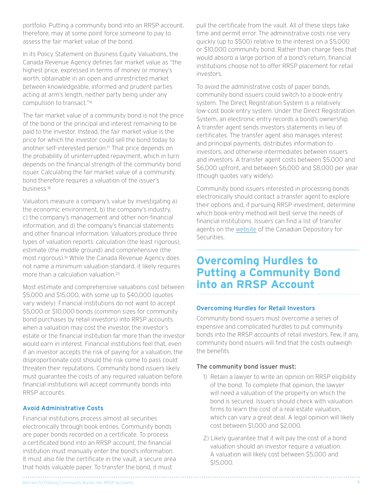<span id="page-6-0"></span>portfolio. Putting a community bond into an RRSP account, therefore, may at some point force someone to pay to assess the fair market value of the bond.

In its Policy Statement on Business Equity Valuations, the Canada Revenue Agency defines fair market value as "the highest price, expressed in terms of money or money's worth, obtainable in an open and unrestricted market between knowledgeable, informed and prudent parties acting at arm's length, neither party being under any compulsion to transact."16

The fair market value of a community bond is not the price of the bond or the principal and interest remaining to be paid to the investor. Instead, the fair market value is the price for which the investor could sell the bond today to another self-interested person.<sup>17</sup> That price depends on the probability of uninterrupted repayment, which in turn depends on the financial strength of the community bond issuer. Calculating the fair market value of a community bond therefore requires a valuation of the issuer's business.18

Valuators measure a company's value by investigating a) the economic environment, b) the company's industry, c) the company's management and other non-financial information, and d) the company's financial statements and other financial information. Valuators produce three types of valuation reports: calculation (the least rigorous), estimate (the middle ground) and comprehensive (the most rigorous).19 While the Canada Revenue Agency does not name a minimum valuation standard, it likely requires more than a calculation valuation<sup>20</sup>

Most estimate and comprehensive valuations cost between \$5,000 and \$15,000, with some up to \$40,000 (quotes vary widely). Financial institutions do not want to accept \$5,000 or \$10,000 bonds (common sizes for community bond purchases by retail investors) into RRSP accounts when a valuation may cost the investor, the investor's estate or the financial institution far more than the investor would earn in interest. Financial institutions feel that, even if an investor accepts the risk of paying for a valuation, the disproportionate cost should the risk come to pass could threaten their reputations. Community bond issuers likely must guarantee the costs of any required valuation before financial institutions will accept community bonds into RRSP accounts.

#### Avoid Administrative Costs

Financial institutions process almost all securities electronically through book entries. Community bonds are paper bonds recorded on a certificate. To process a certificated bond into an RRSP account, the financial institution must manually enter the bond's information. It must also file the certificate in the vault, a secure area that holds valuable paper. To transfer the bond, it must

pull the certificate from the vault. All of these steps take time and permit error. The administrative costs rise very quickly (up to \$500) relative to the interest on a \$5,000 or \$10,000 community bond. Rather than charge fees that would absorb a large portion of a bond's return, financial institutions choose not to offer RRSP placement for retail investors.

To avoid the administrative costs of paper bonds, community bond issuers could switch to a book-entry system. The Direct Registration System is a relatively low-cost book-entry system. Under the Direct Registration System, an electronic entry records a bond's ownership. A transfer agent sends investors statements in lieu of certificates. The transfer agent also manages interest and principal payments, distributes information to investors, and otherwise intermediates between issuers and investors. A transfer agent costs between \$5,000 and \$6,000 upfront, and between \$6,000 and \$8,000 per year (though quotes vary widely).

Community bond issuers interested in processing bonds electronically should contact a transfer agent to explore their options and, if pursuing RRSP investment, determine which book-entry method will best serve the needs of financial institutions. Issuers can find a list of transfer agents on the [website](https://www.cds.ca/cds-services/user-resources/participant-list) of the Canadian Depository for Securities.

### **Overcoming Hurdles to Putting a Community Bond into an RRSP Account**

#### Overcoming Hurdles for Retail Investors

Community bond issuers must overcome a series of expensive and complicated hurdles to put community bonds into the RRSP accounts of retail investors. Few, if any, community bond issuers will find that the costs outweigh the benefits.

#### The community bond issuer must:

- 1) Retain a lawyer to write an opinion on RRSP eligibility of the bond. To complete that opinion, the lawyer will need a valuation of the property on which the bond is secured. Issuers should check with valuation firms to learn the cost of a real estate valuation, which can vary a great deal. A legal opinion will likely cost between \$1,000 and \$2,000.
- 2) Likely guarantee that it will pay the cost of a bond valuation should an investor require a valuation. A valuation will likely cost between \$5,000 and \$15,000.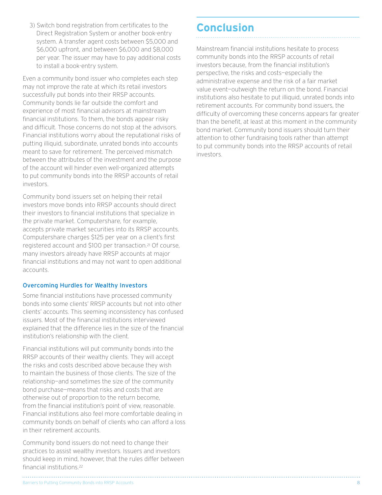<span id="page-7-0"></span>3) Switch bond registration from certificates to the Direct Registration System or another book-entry system. A transfer agent costs between \$5,000 and \$6,000 upfront, and between \$6,000 and \$8,000 per year. The issuer may have to pay additional costs to install a book-entry system.

Even a community bond issuer who completes each step may not improve the rate at which its retail investors successfully put bonds into their RRSP accounts. Community bonds lie far outside the comfort and experience of most financial advisors at mainstream financial institutions. To them, the bonds appear risky and difficult. Those concerns do not stop at the advisors. Financial institutions worry about the reputational risks of putting illiquid, subordinate, unrated bonds into accounts meant to save for retirement. The perceived mismatch between the attributes of the investment and the purpose of the account will hinder even well-organized attempts to put community bonds into the RRSP accounts of retail investors.

Community bond issuers set on helping their retail investors move bonds into RRSP accounts should direct their investors to financial institutions that specialize in the private market. Computershare, for example, accepts private market securities into its RRSP accounts. Computershare charges \$125 per year on a client's first registered account and \$100 per transaction.21 Of course, many investors already have RRSP accounts at major financial institutions and may not want to open additional accounts.

#### Overcoming Hurdles for Wealthy Investors

Some financial institutions have processed community bonds into some clients' RRSP accounts but not into other clients' accounts. This seeming inconsistency has confused issuers. Most of the financial institutions interviewed explained that the difference lies in the size of the financial institution's relationship with the client.

Financial institutions will put community bonds into the RRSP accounts of their wealthy clients. They will accept the risks and costs described above because they wish to maintain the business of those clients. The size of the relationship—and sometimes the size of the community bond purchase—means that risks and costs that are otherwise out of proportion to the return become, from the financial institution's point of view, reasonable. Financial institutions also feel more comfortable dealing in community bonds on behalf of clients who can afford a loss in their retirement accounts.

Community bond issuers do not need to change their practices to assist wealthy investors. Issuers and investors should keep in mind, however, that the rules differ between financial institutions.22

### **Conclusion**

Mainstream financial institutions hesitate to process community bonds into the RRSP accounts of retail investors because, from the financial institution's perspective, the risks and costs—especially the administrative expense and the risk of a fair market value event—outweigh the return on the bond. Financial institutions also hesitate to put illiquid, unrated bonds into retirement accounts. For community bond issuers, the difficulty of overcoming these concerns appears far greater than the benefit, at least at this moment in the community bond market. Community bond issuers should turn their attention to other fundraising tools rather than attempt to put community bonds into the RRSP accounts of retail investors.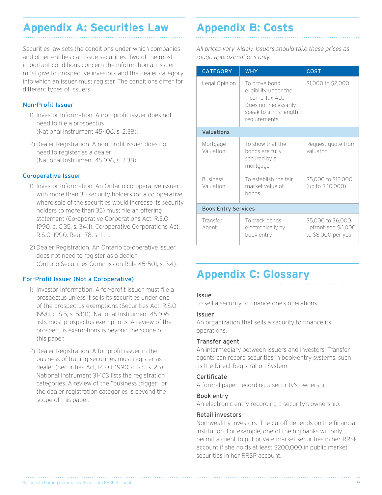### <span id="page-8-0"></span>**Appendix A: Securities Law**

Securities law sets the conditions under which companies and other entities can issue securities. Two of the most important conditions concern the information an issuer must give to prospective investors and the dealer category into which an issuer must register. The conditions differ for different types of issuers.

#### Non-Profit Issuer

- 1) Investor Information. A non-profit issuer does not need to file a prospectus (National Instrument 45-106, s. 2.38).
- 2) Dealer Registration. A non-profit issuer does not need to register as a dealer (National Instrument 45-106, s. 3.38).

#### Co-operative Issuer

- 1) Investor Information. An Ontario co-operative issuer with more than 35 security holders (or a co-operative where sale of the securities would increase its security holders to more than 35) must file an offering statement (Co-operative Corporations Act, R.S.O. 1990, c. C.35, s. 34(1); Co-operative Corporations Act, R.S.O. 1990, Reg. 178, s. 11.1).
- 2) Dealer Registration. An Ontario co-operative issuer does not need to register as a dealer (Ontario Securities Commission Rule 45-501, s. 3.4).

#### For-Profit Issuer (Not a Co-operative)

- 1) Investor Information. A for-profit issuer must file a prospectus unless it sells its securities under one of the prospectus exemptions (Securities Act, R.S.O. 1990, c. S.5, s. 53(1)). National Instrument 45-106 lists most prospectus exemptions. A review of the prospectus exemptions is beyond the scope of this paper.
- 2) Dealer Registration. A for-profit issuer in the business of trading securities must register as a dealer (Securities Act, R.S.O. 1990, c. S.5, s. 25). National Instrument 31-103 lists the registration categories. A review of the "business trigger" or the dealer registration categories is beyond the scope of this paper.

### **Appendix B: Costs**

*All prices vary widely. Issuers should take these prices as rough approximations only.*

| <b>CATEGORY</b>              | <b>WHY</b>                                                                                                                  | <b>COST</b>                                                      |  |  |
|------------------------------|-----------------------------------------------------------------------------------------------------------------------------|------------------------------------------------------------------|--|--|
| Legal Opinion                | To prove bond<br>eligibility under the<br>Income Tax Act.<br>Does not necessarily<br>speak to arm's-length<br>requirements. | \$1,000 to \$2,000                                               |  |  |
| Valuations                   |                                                                                                                             |                                                                  |  |  |
| Mortgage<br>Valuation        | To show that the<br>bonds are fully<br>secured by a<br>mortgage.                                                            | Request quote from<br>valuator                                   |  |  |
| <b>Business</b><br>Valuation | To establish the fair<br>market value of<br>bonds.                                                                          | \$5,000 to \$15,000<br>(up to \$40,000)                          |  |  |
| <b>Book Entry Services</b>   |                                                                                                                             |                                                                  |  |  |
| Transfer<br>Agent            | To track bonds<br>electronically by<br>book entry.                                                                          | \$5,000 to \$6,000<br>upfront and \$6,000<br>to \$8,000 per year |  |  |

### **Appendix C: Glossary**

#### Issue

To sell a security to finance one's operations.

#### Issuer

An organization that sells a security to finance its operations.

#### Transfer agent

An intermediary between issuers and investors. Transfer agents can record securities in book-entry systems, such as the Direct Registration System.

#### Certificate

A formal paper recording a security's ownership.

#### Book entry

An electronic entry recording a security's ownership.

#### Retail investors

Non-wealthy investors. The cutoff depends on the financial institution. For example, one of the big banks will only permit a client to put private market securities in her RRSP account if she holds at least \$200,000 in public market securities in her RRSP account.